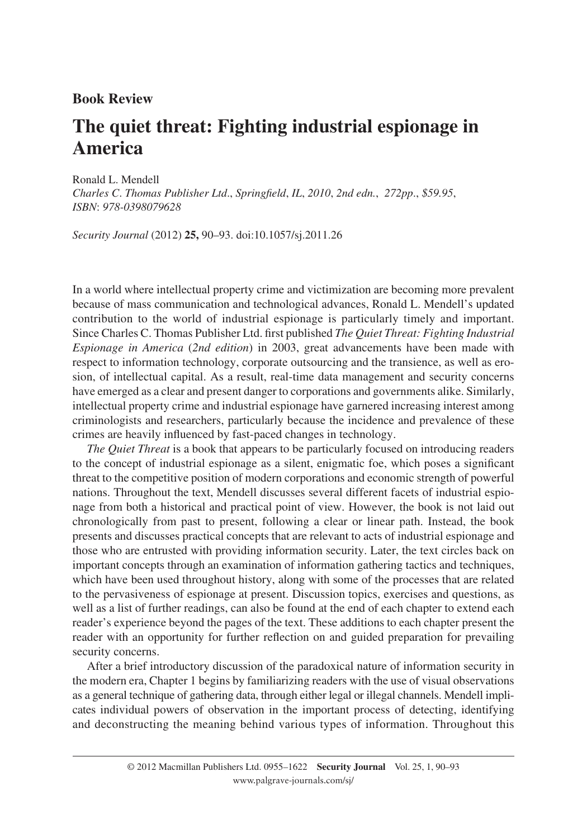## **Book Review**

## **The quiet threat: Fighting industrial espionage in America**

Ronald L. Mendell

*Charles C. Thomas Publisher Ltd., Springfield, IL, 2010, 2nd edn., 272pp., \$59.95, ISBN* : *978-0398079628*

*Security Journal* (2012) **25,** 90 – 93. doi: 10.1057/sj.2011.26

 In a world where intellectual property crime and victimization are becoming more prevalent because of mass communication and technological advances, Ronald L. Mendell's updated contribution to the world of industrial espionage is particularly timely and important. Since Charles C. Thomas Publisher Ltd. first published *The Quiet Threat: Fighting Industrial Espionage in America* (2nd edition) in 2003, great advancements have been made with respect to information technology, corporate outsourcing and the transience, as well as erosion, of intellectual capital. As a result, real-time data management and security concerns have emerged as a clear and present danger to corporations and governments alike. Similarly, intellectual property crime and industrial espionage have garnered increasing interest among criminologists and researchers, particularly because the incidence and prevalence of these crimes are heavily influenced by fast-paced changes in technology.

*The Quiet Threat* is a book that appears to be particularly focused on introducing readers to the concept of industrial espionage as a silent, enigmatic foe, which poses a significant threat to the competitive position of modern corporations and economic strength of powerful nations. Throughout the text, Mendell discusses several different facets of industrial espionage from both a historical and practical point of view. However, the book is not laid out chronologically from past to present, following a clear or linear path. Instead, the book presents and discusses practical concepts that are relevant to acts of industrial espionage and those who are entrusted with providing information security. Later, the text circles back on important concepts through an examination of information gathering tactics and techniques, which have been used throughout history, along with some of the processes that are related to the pervasiveness of espionage at present. Discussion topics, exercises and questions, as well as a list of further readings, can also be found at the end of each chapter to extend each reader's experience beyond the pages of the text. These additions to each chapter present the reader with an opportunity for further reflection on and guided preparation for prevailing security concerns.

 After a brief introductory discussion of the paradoxical nature of information security in the modern era, Chapter 1 begins by familiarizing readers with the use of visual observations as a general technique of gathering data, through either legal or illegal channels. Mendell implicates individual powers of observation in the important process of detecting, identifying and deconstructing the meaning behind various types of information. Throughout this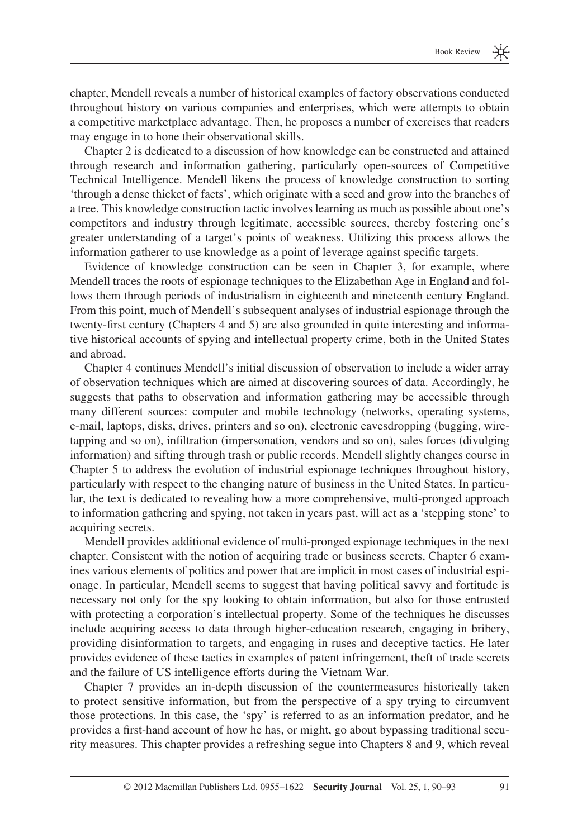chapter, Mendell reveals a number of historical examples of factory observations conducted throughout history on various companies and enterprises, which were attempts to obtain a competitive marketplace advantage. Then, he proposes a number of exercises that readers may engage in to hone their observational skills.

 Chapter 2 is dedicated to a discussion of how knowledge can be constructed and attained through research and information gathering, particularly open-sources of Competitive Technical Intelligence. Mendell likens the process of knowledge construction to sorting ' through a dense thicket of facts ' , which originate with a seed and grow into the branches of a tree. This knowledge construction tactic involves learning as much as possible about one ' s competitors and industry through legitimate, accessible sources, thereby fostering one's greater understanding of a target's points of weakness. Utilizing this process allows the information gatherer to use knowledge as a point of leverage against specific targets.

 Evidence of knowledge construction can be seen in Chapter 3, for example, where Mendell traces the roots of espionage techniques to the Elizabethan Age in England and follows them through periods of industrialism in eighteenth and nineteenth century England. From this point, much of Mendell's subsequent analyses of industrial espionage through the twenty-first century (Chapters 4 and 5) are also grounded in quite interesting and informative historical accounts of spying and intellectual property crime, both in the United States and abroad.

Chapter 4 continues Mendell's initial discussion of observation to include a wider array of observation techniques which are aimed at discovering sources of data. Accordingly, he suggests that paths to observation and information gathering may be accessible through many different sources: computer and mobile technology (networks, operating systems, e-mail, laptops, disks, drives, printers and so on), electronic eavesdropping (bugging, wiretapping and so on), infiltration (impersonation, vendors and so on), sales forces (divulging information) and sifting through trash or public records. Mendell slightly changes course in Chapter 5 to address the evolution of industrial espionage techniques throughout history, particularly with respect to the changing nature of business in the United States. In particular, the text is dedicated to revealing how a more comprehensive, multi-pronged approach to information gathering and spying, not taken in years past, will act as a 'stepping stone' to acquiring secrets.

 Mendell provides additional evidence of multi-pronged espionage techniques in the next chapter. Consistent with the notion of acquiring trade or business secrets, Chapter 6 examines various elements of politics and power that are implicit in most cases of industrial espionage. In particular, Mendell seems to suggest that having political savvy and fortitude is necessary not only for the spy looking to obtain information, but also for those entrusted with protecting a corporation's intellectual property. Some of the techniques he discusses include acquiring access to data through higher-education research, engaging in bribery, providing disinformation to targets, and engaging in ruses and deceptive tactics. He later provides evidence of these tactics in examples of patent infringement, theft of trade secrets and the failure of US intelligence efforts during the Vietnam War.

 Chapter 7 provides an in-depth discussion of the countermeasures historically taken to protect sensitive information, but from the perspective of a spy trying to circumvent those protections. In this case, the 'spy' is referred to as an information predator, and he provides a first-hand account of how he has, or might, go about bypassing traditional security measures. This chapter provides a refreshing segue into Chapters 8 and 9, which reveal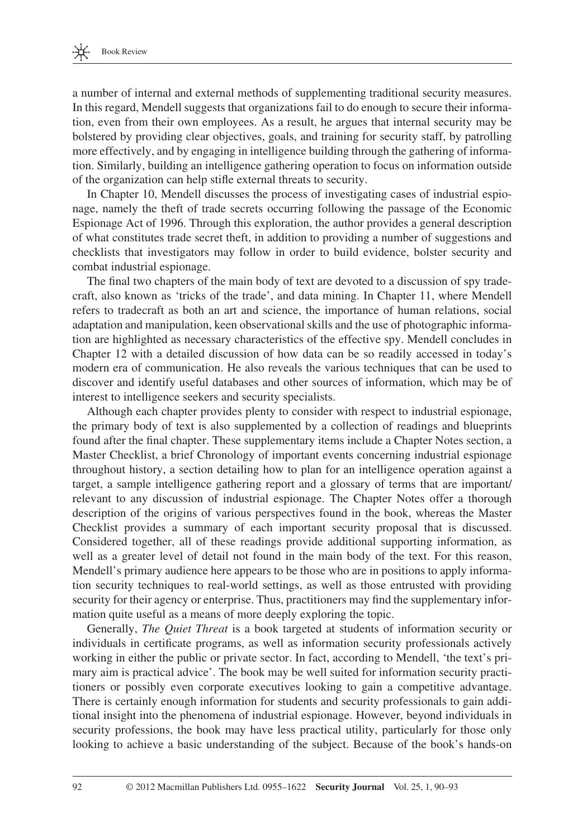a number of internal and external methods of supplementing traditional security measures. In this regard, Mendell suggests that organizations fail to do enough to secure their information, even from their own employees. As a result, he argues that internal security may be bolstered by providing clear objectives, goals, and training for security staff, by patrolling more effectively, and by engaging in intelligence building through the gathering of information. Similarly, building an intelligence gathering operation to focus on information outside of the organization can help stifle external threats to security.

 In Chapter 10, Mendell discusses the process of investigating cases of industrial espionage, namely the theft of trade secrets occurring following the passage of the Economic Espionage Act of 1996. Through this exploration, the author provides a general description of what constitutes trade secret theft, in addition to providing a number of suggestions and checklists that investigators may follow in order to build evidence, bolster security and combat industrial espionage.

The final two chapters of the main body of text are devoted to a discussion of spy tradecraft, also known as 'tricks of the trade', and data mining. In Chapter 11, where Mendell refers to tradecraft as both an art and science, the importance of human relations, social adaptation and manipulation, keen observational skills and the use of photographic information are highlighted as necessary characteristics of the effective spy. Mendell concludes in Chapter 12 with a detailed discussion of how data can be so readily accessed in today's modern era of communication. He also reveals the various techniques that can be used to discover and identify useful databases and other sources of information, which may be of interest to intelligence seekers and security specialists.

 Although each chapter provides plenty to consider with respect to industrial espionage, the primary body of text is also supplemented by a collection of readings and blueprints found after the final chapter. These supplementary items include a Chapter Notes section, a Master Checklist, a brief Chronology of important events concerning industrial espionage throughout history, a section detailing how to plan for an intelligence operation against a target, a sample intelligence gathering report and a glossary of terms that are important/ relevant to any discussion of industrial espionage. The Chapter Notes offer a thorough description of the origins of various perspectives found in the book, whereas the Master Checklist provides a summary of each important security proposal that is discussed. Considered together, all of these readings provide additional supporting information, as well as a greater level of detail not found in the main body of the text. For this reason, Mendell's primary audience here appears to be those who are in positions to apply information security techniques to real-world settings, as well as those entrusted with providing security for their agency or enterprise. Thus, practitioners may find the supplementary information quite useful as a means of more deeply exploring the topic.

 Generally, *The Quiet Threat* is a book targeted at students of information security or individuals in certificate programs, as well as information security professionals actively working in either the public or private sector. In fact, according to Mendell, 'the text's primary aim is practical advice'. The book may be well suited for information security practitioners or possibly even corporate executives looking to gain a competitive advantage. There is certainly enough information for students and security professionals to gain additional insight into the phenomena of industrial espionage. However, beyond individuals in security professions, the book may have less practical utility, particularly for those only looking to achieve a basic understanding of the subject. Because of the book's hands-on